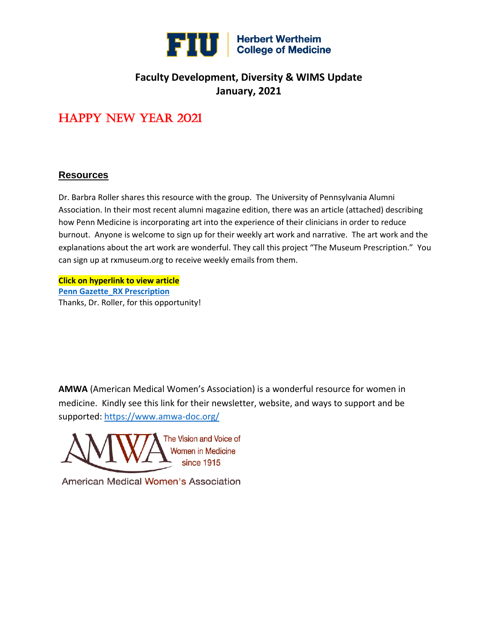

## **Faculty Development, Diversity & WIMS Update January, 2021**

# Happy New Year 2021

### **Resources**

Dr. Barbra Roller shares this resource with the group. The University of Pennsylvania Alumni Association. In their most recent alumni magazine edition, there was an article (attached) describing how Penn Medicine is incorporating art into the experience of their clinicians in order to reduce burnout. Anyone is welcome to sign up for their weekly art work and narrative. The art work and the explanations about the art work are wonderful. They call this project "The Museum Prescription." You can sign up at rxmuseum.org to receive weekly emails from them.

**Click on hyperlink to view article [Penn Gazette\\_RX Prescription](file://///ad.fiu.edu/com/shared/WIMS/PennGazette_%20RX%20Prescription.pdf)** Thanks, Dr. Roller, for this opportunity!

**AMWA** (American Medical Women's Association) is a wonderful resource for women in medicine. Kindly see this link for their newsletter, website, and ways to support and be supported: <https://www.amwa-doc.org/>

The Vision and Voice of **Women in Medicine** since 1915

American Medical Women's Association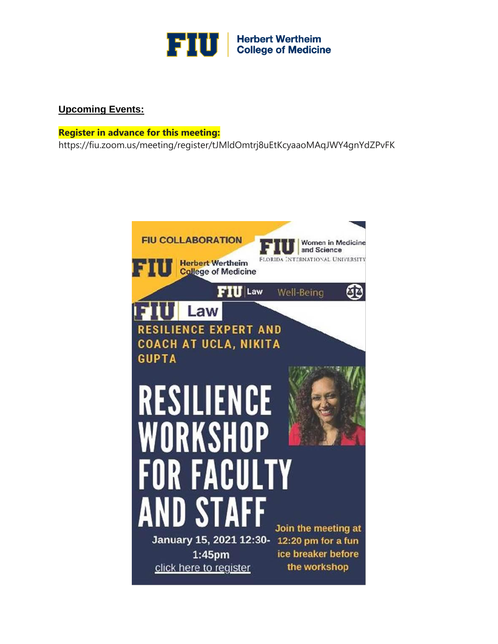

## **Upcoming Events:**

#### **Register in advance for this meeting:**

https://fiu.zoom.us/meeting/register/tJMldOmtrj8uEtKcyaaoMAqJWY4gnYdZPvFK

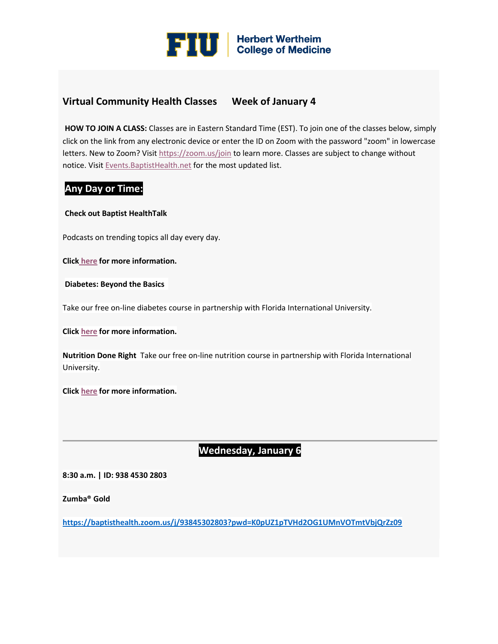

## **Virtual Community Health Classes Week of January 4**

**HOW TO JOIN A CLASS:** Classes are in Eastern Standard Time (EST). To join one of the classes below, simply click on the link from any electronic device or enter the ID on Zoom with the password "zoom" in lowercase letters. New to Zoom? Visit [https://zoom.us/join](https://urldefense.proofpoint.com/v2/url?u=https-3A__click.icptrack.com_icp_relay.php-3Fr-3D50454351-26msgid-3D518883-26act-3D28BB-26c-3D1142700-26destination-3Dhttps-253A-252F-252Fzoom.us-252Fjoin-26cf-3D24050-26v-3D264a90137158c05496db82fda92d8332a5ac604538affbd5e1b265d93540a05c&d=DwMFaQ&c=lhMMI368wojMYNABHh1gQQ&r=48LiaEKVb-T5CUy6xb712A&m=tH4b7OcVqZQAplbN44VfC-E-vUlI1gYI1zayGbD4KVs&s=AQZyv32baRJ6QuMoGzvPYu3P8qr44FDKFC0qG2J-SwI&e=) to learn more. Classes are subject to change without notice. Visit Events. Baptist Health.net for the most updated list.

### **Any Day or Time:**

#### **Check out Baptist HealthTalk**

Podcasts on trending topics all day every day.

**Click [here](https://urldefense.proofpoint.com/v2/url?u=https-3A__click.icptrack.com_icp_relay.php-3Fr-3D50454351-26msgid-3D518883-26act-3D28BB-26c-3D1142700-26destination-3Dhttps-253A-252F-252Fevents.baptisthealth.net-252FClassesAndEventsDetails.aspx-253Fceid-253D5899813f-2D1b39-2D4795-2D81b0-2Df99db8b716e7-26cf-3D24050-26v-3D62cf3ff1d5650106b587be6250a0f541d87f80e09876404fb1d45500322cf1ac&d=DwMFaQ&c=lhMMI368wojMYNABHh1gQQ&r=48LiaEKVb-T5CUy6xb712A&m=tH4b7OcVqZQAplbN44VfC-E-vUlI1gYI1zayGbD4KVs&s=_7zr8-cZy-h_JYkpqAAMdqjhf4eAwL5eGMkZeGhzlKk&e=) for more information.**

**Diabetes: Beyond the Basics**

Take our free on-line diabetes course in partnership with Florida International University.

**Click [here](https://urldefense.proofpoint.com/v2/url?u=https-3A__click.icptrack.com_icp_relay.php-3Fr-3D50454351-26msgid-3D518883-26act-3D28BB-26c-3D1142700-26destination-3Dhttps-253A-252F-252Fevents.baptisthealth.net-252FClassesAndEventsDetails.aspx-253Fceid-253Df83d93c8-2Dc9d5-2D41ca-2Dae77-2D3b1cf3b5c91a-26cf-3D24050-26v-3D104d43c2c2556d50f5d0b9f7d76345c955389c9ffe78cf9d3d6597b4c96e5ea4&d=DwMFaQ&c=lhMMI368wojMYNABHh1gQQ&r=48LiaEKVb-T5CUy6xb712A&m=tH4b7OcVqZQAplbN44VfC-E-vUlI1gYI1zayGbD4KVs&s=2Uu5w3O-7HE9tIMp3EgdqPOvXYVfmeFQsKNtiXxfhkY&e=) for more information.**

**Nutrition Done Right** Take our free on-line nutrition course in partnership with Florida International University.

**Click [here](https://urldefense.proofpoint.com/v2/url?u=https-3A__click.icptrack.com_icp_relay.php-3Fr-3D50454351-26msgid-3D518883-26act-3D28BB-26c-3D1142700-26destination-3Dhttps-253A-252F-252Fevents.baptisthealth.net-252FClassesAndEventsDetails.aspx-253Fceid-253D970ead2f-2Dfd49-2D42f8-2D86ca-2Dccd5678aa0ad-26cf-3D24050-26v-3Dd53f0df6bd77778b846f5c7a9712c964dc5d904c8a2b23d1bf924eda679f2f43&d=DwMFaQ&c=lhMMI368wojMYNABHh1gQQ&r=48LiaEKVb-T5CUy6xb712A&m=tH4b7OcVqZQAplbN44VfC-E-vUlI1gYI1zayGbD4KVs&s=_1u2EOp9bx9S8wAYhXIQsDBklNTDTW-agB-ErdgRr6c&e=) for more information.**

## **Wednesday, January 6**

**8:30 a.m. | ID: 938 4530 2803**

**Zumba® Gold**

**[https://baptisthealth.zoom.us/j/93845302803?pwd=K0pUZ1pTVHd2OG1UMnVOTmtVbjQrZz09](https://urldefense.proofpoint.com/v2/url?u=https-3A__click.icptrack.com_icp_relay.php-3Fr-3D50454351-26msgid-3D518883-26act-3D28BB-26c-3D1142700-26destination-3Dhttps-253A-252F-252Fbaptisthealth.zoom.us-252Fj-252F93845302803-253Fpwd-253DK0pUZ1pTVHd2OG1UMnVOTmtVbjQrZz09-26cf-3D24050-26v-3D580968a6bc7988eaa097f1cf7475ea9a7b308354ee95222bdd46c59cd824adff&d=DwMFaQ&c=lhMMI368wojMYNABHh1gQQ&r=48LiaEKVb-T5CUy6xb712A&m=tH4b7OcVqZQAplbN44VfC-E-vUlI1gYI1zayGbD4KVs&s=6O3NHO8oXGuXIYpMbQ1buvbVRo_DSl2pJ797BMT8duk&e=)**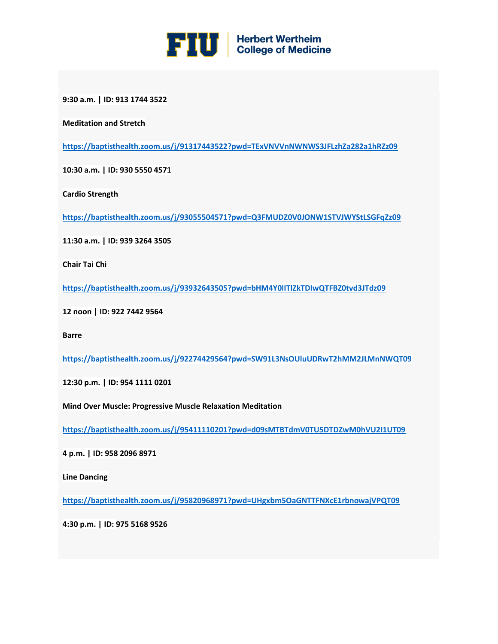

**9:30 a.m. | ID: 913 1744 3522**

**Meditation and Stretch**

**[https://baptisthealth.zoom.us/j/91317443522?pwd=TExVNVVnNWNWS3JFLzhZa282a1hRZz09](https://urldefense.proofpoint.com/v2/url?u=https-3A__click.icptrack.com_icp_relay.php-3Fr-3D50454351-26msgid-3D518883-26act-3D28BB-26c-3D1142700-26destination-3Dhttps-253A-252F-252Fbaptisthealth.zoom.us-252Fj-252F91317443522-253Fpwd-253DTExVNVVnNWNWS3JFLzhZa282a1hRZz09-26cf-3D24050-26v-3De7976211c5f45cacd05cb943d69dd62a175e0c2bd8755f498f95c4d20cd2ecd5&d=DwMFaQ&c=lhMMI368wojMYNABHh1gQQ&r=48LiaEKVb-T5CUy6xb712A&m=tH4b7OcVqZQAplbN44VfC-E-vUlI1gYI1zayGbD4KVs&s=983yg33kIttu6oAg5VqZYhhAB2U18LOMAe_9VjAZ2ls&e=)**

**10:30 a.m. | ID: 930 5550 4571**

**Cardio Strength**

**[https://baptisthealth.zoom.us/j/93055504571?pwd=Q3FMUDZ0V0JONW1STVJWYStLSGFqZz09](https://urldefense.proofpoint.com/v2/url?u=https-3A__click.icptrack.com_icp_relay.php-3Fr-3D50454351-26msgid-3D518883-26act-3D28BB-26c-3D1142700-26destination-3Dhttps-253A-252F-252Fbaptisthealth.zoom.us-252Fj-252F93055504571-253Fpwd-253DQ3FMUDZ0V0JONW1STVJWYStLSGFqZz09-26cf-3D24050-26v-3D250a481062e4363748842097d6dc8bf6e209397345f8be849b9821ba0667f504&d=DwMFaQ&c=lhMMI368wojMYNABHh1gQQ&r=48LiaEKVb-T5CUy6xb712A&m=tH4b7OcVqZQAplbN44VfC-E-vUlI1gYI1zayGbD4KVs&s=yIe-h1AIeID97B00Zak_Qn-9nvc_HrrYgvhEbeiYsI4&e=)**

**11:30 a.m. | ID: 939 3264 3505**

**Chair Tai Chi**

**[https://baptisthealth.zoom.us/j/93932643505?pwd=bHM4Y0lITlZkTDIwQTFBZ0tvd3JTdz09](https://urldefense.proofpoint.com/v2/url?u=https-3A__click.icptrack.com_icp_relay.php-3Fr-3D50454351-26msgid-3D518883-26act-3D28BB-26c-3D1142700-26destination-3Dhttps-253A-252F-252Fbaptisthealth.zoom.us-252Fj-252F93932643505-253Fpwd-253DbHM4Y0lITlZkTDIwQTFBZ0tvd3JTdz09-26cf-3D24050-26v-3D21b263ca7fd39ddfe3db392839bc47cbba395c0a97634770a6db5f14f204e3e9&d=DwMFaQ&c=lhMMI368wojMYNABHh1gQQ&r=48LiaEKVb-T5CUy6xb712A&m=tH4b7OcVqZQAplbN44VfC-E-vUlI1gYI1zayGbD4KVs&s=nncH6oSsxom2n9XgyStyl6x5MftviaAbCW9uwPTRbRY&e=)**

**12 noon | ID: 922 7442 9564**

**Barre**

**[https://baptisthealth.zoom.us/j/92274429564?pwd=SW91L3NsOUluUDRwT2hMM2JLMnNWQT09](https://urldefense.proofpoint.com/v2/url?u=https-3A__click.icptrack.com_icp_relay.php-3Fr-3D50454351-26msgid-3D518883-26act-3D28BB-26c-3D1142700-26destination-3Dhttps-253A-252F-252Fbaptisthealth.zoom.us-252Fj-252F92274429564-253Fpwd-253DSW91L3NsOUluUDRwT2hMM2JLMnNWQT09-26cf-3D24050-26v-3Da10d335b86452c52a84959716eb8c5390d5cdc5630bca169b40abad6ab1bdb89&d=DwMFaQ&c=lhMMI368wojMYNABHh1gQQ&r=48LiaEKVb-T5CUy6xb712A&m=tH4b7OcVqZQAplbN44VfC-E-vUlI1gYI1zayGbD4KVs&s=G2NkdOIdkgu7smU1HLxZrj0eocM3C0EkIeKz7BdodSk&e=)**

**12:30 p.m. | ID: 954 1111 0201**

**Mind Over Muscle: Progressive Muscle Relaxation Meditation**

**[https://baptisthealth.zoom.us/j/95411110201?pwd=d09sMTBTdmV0TU5DTDZwM0hVU2I1UT09](https://urldefense.proofpoint.com/v2/url?u=https-3A__click.icptrack.com_icp_relay.php-3Fr-3D50454351-26msgid-3D518883-26act-3D28BB-26c-3D1142700-26destination-3Dhttps-253A-252F-252Fbaptisthealth.zoom.us-252Fj-252F95411110201-253Fpwd-253Dd09sMTBTdmV0TU5DTDZwM0hVU2I1UT09-26cf-3D24050-26v-3Dc9c5d3d96bb936b26250bcbdefcd686edb9c90530917b7ab7cba3145bc9c420b&d=DwMFaQ&c=lhMMI368wojMYNABHh1gQQ&r=48LiaEKVb-T5CUy6xb712A&m=tH4b7OcVqZQAplbN44VfC-E-vUlI1gYI1zayGbD4KVs&s=otGMYcaD4HcMj4Fknux9e7Sr5sVp77FsMSsLgvlSxEw&e=)**

**4 p.m. | ID: 958 2096 8971**

**Line Dancing**

**[https://baptisthealth.zoom.us/j/95820968971?pwd=UHgxbm5OaGNTTFNXcE1rbnowajVPQT09](https://urldefense.proofpoint.com/v2/url?u=https-3A__click.icptrack.com_icp_relay.php-3Fr-3D50454351-26msgid-3D518883-26act-3D28BB-26c-3D1142700-26destination-3Dhttps-253A-252F-252Fbaptisthealth.zoom.us-252Fj-252F95820968971-253Fpwd-253DUHgxbm5OaGNTTFNXcE1rbnowajVPQT09-26cf-3D24050-26v-3D3586680aa10d56638a8d14024d78593c52ff1e9508adb2bf0bfc363027297fec&d=DwMFaQ&c=lhMMI368wojMYNABHh1gQQ&r=48LiaEKVb-T5CUy6xb712A&m=tH4b7OcVqZQAplbN44VfC-E-vUlI1gYI1zayGbD4KVs&s=8sy5E30RE8mAjeOWXMCkCr2VSa7T7-MoY5UORrj-U68&e=)**

**4:30 p.m. | ID: 975 5168 9526**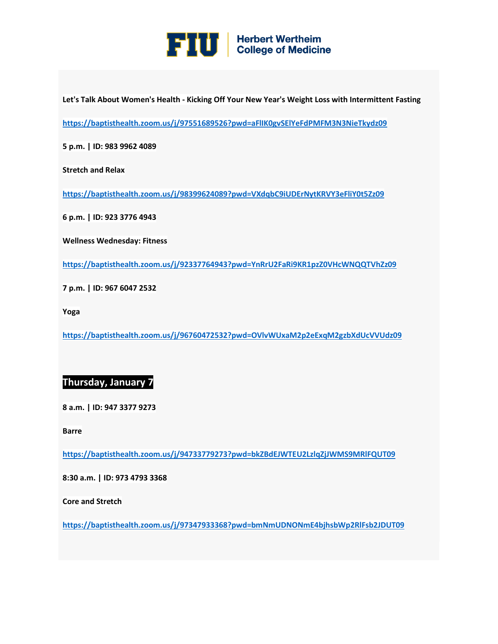

**Let's Talk About Women's Health - Kicking Off Your New Year's Weight Loss with Intermittent Fasting**

**[https://baptisthealth.zoom.us/j/97551689526?pwd=aFlIK0gvSElYeFdPMFM3N3NieTkydz09](https://urldefense.proofpoint.com/v2/url?u=https-3A__click.icptrack.com_icp_relay.php-3Fr-3D50454351-26msgid-3D518883-26act-3D28BB-26c-3D1142700-26destination-3Dhttps-253A-252F-252Fbaptisthealth.zoom.us-252Fj-252F97551689526-253Fpwd-253DaFlIK0gvSElYeFdPMFM3N3NieTkydz09-26cf-3D24050-26v-3Dffb70047d000749682bc447d9d5f7b2b9909a38fdfd38d1158de86f4ee2e3cce&d=DwMFaQ&c=lhMMI368wojMYNABHh1gQQ&r=48LiaEKVb-T5CUy6xb712A&m=tH4b7OcVqZQAplbN44VfC-E-vUlI1gYI1zayGbD4KVs&s=4gUlAxDKznKudTsYxtWGBBlo5h6TGUBidKO4TJfeuLs&e=)**

**5 p.m. | ID: 983 9962 4089**

**Stretch and Relax**

**[https://baptisthealth.zoom.us/j/98399624089?pwd=VXdqbC9iUDErNytKRVY3eFliY0t5Zz09](https://urldefense.proofpoint.com/v2/url?u=https-3A__click.icptrack.com_icp_relay.php-3Fr-3D50454351-26msgid-3D518883-26act-3D28BB-26c-3D1142700-26destination-3Dhttps-253A-252F-252Fbaptisthealth.zoom.us-252Fj-252F98399624089-253Fpwd-253DVXdqbC9iUDErNytKRVY3eFliY0t5Zz09-26cf-3D24050-26v-3D897d2f3c8647c47c314cd434896c7b8ee387ff475c91f60f3f713478aabc401f&d=DwMFaQ&c=lhMMI368wojMYNABHh1gQQ&r=48LiaEKVb-T5CUy6xb712A&m=tH4b7OcVqZQAplbN44VfC-E-vUlI1gYI1zayGbD4KVs&s=slL4q_gfcPgR-Hij0qbjdhIJwF4xD7MLhMxTSagZ1pc&e=)**

**6 p.m. | ID: 923 3776 4943**

**Wellness Wednesday: Fitness**

**[https://baptisthealth.zoom.us/j/92337764943?pwd=YnRrU2FaRi9KR1pzZ0VHcWNQQTVhZz09](https://urldefense.proofpoint.com/v2/url?u=https-3A__click.icptrack.com_icp_relay.php-3Fr-3D50454351-26msgid-3D518883-26act-3D28BB-26c-3D1142700-26destination-3Dhttps-253A-252F-252Fbaptisthealth.zoom.us-252Fj-252F92337764943-253Fpwd-253DYnRrU2FaRi9KR1pzZ0VHcWNQQTVhZz09-26cf-3D24050-26v-3D2185781a09fb9cba0dd09a05809e414096602900af453cfae32bc7c76b499e92&d=DwMFaQ&c=lhMMI368wojMYNABHh1gQQ&r=48LiaEKVb-T5CUy6xb712A&m=tH4b7OcVqZQAplbN44VfC-E-vUlI1gYI1zayGbD4KVs&s=X8w2GP9piA8rn9kfFRgvhEK0GIf4dtjEsADleJLuILE&e=)**

**7 p.m. | ID: 967 6047 2532**

**Yoga**

**[https://baptisthealth.zoom.us/j/96760472532?pwd=OVlvWUxaM2p2eExqM2gzbXdUcVVUdz09](https://urldefense.proofpoint.com/v2/url?u=https-3A__click.icptrack.com_icp_relay.php-3Fr-3D50454351-26msgid-3D518883-26act-3D28BB-26c-3D1142700-26destination-3Dhttps-253A-252F-252Fbaptisthealth.zoom.us-252Fj-252F96760472532-253Fpwd-253DOVlvWUxaM2p2eExqM2gzbXdUcVVUdz09-26cf-3D24050-26v-3D38e96b559f902f6b094a8a3924b83e1123ca26ab33ebd2f08bdb93ba303f433f&d=DwMFaQ&c=lhMMI368wojMYNABHh1gQQ&r=48LiaEKVb-T5CUy6xb712A&m=tH4b7OcVqZQAplbN44VfC-E-vUlI1gYI1zayGbD4KVs&s=GyaCR5X4FTqJpyPNfCeMd8B4Wp97V3UQSkzDLAPqqAw&e=)**

#### **Thursday, January 7**

**8 a.m. | ID: 947 3377 9273**

**Barre**

**[https://baptisthealth.zoom.us/j/94733779273?pwd=bkZBdEJWTEU2LzlqZjJWMS9MRlFQUT09](https://urldefense.proofpoint.com/v2/url?u=https-3A__click.icptrack.com_icp_relay.php-3Fr-3D50454351-26msgid-3D518883-26act-3D28BB-26c-3D1142700-26destination-3Dhttps-253A-252F-252Fbaptisthealth.zoom.us-252Fj-252F94733779273-253Fpwd-253DbkZBdEJWTEU2LzlqZjJWMS9MRlFQUT09-26cf-3D24050-26v-3D5be19e5e5f2942e77a43eea92d988f3daaaec0cf33bab193423564f96445d0ea&d=DwMFaQ&c=lhMMI368wojMYNABHh1gQQ&r=48LiaEKVb-T5CUy6xb712A&m=tH4b7OcVqZQAplbN44VfC-E-vUlI1gYI1zayGbD4KVs&s=ubDUFG3GvAPtNsHzVHlTDgIP04KRnNewi2MOCzCHiSs&e=)**

**8:30 a.m. | ID: 973 4793 3368**

**Core and Stretch**

**[https://baptisthealth.zoom.us/j/97347933368?pwd=bmNmUDNONmE4bjhsbWp2RlFsb2JDUT09](https://urldefense.proofpoint.com/v2/url?u=https-3A__click.icptrack.com_icp_relay.php-3Fr-3D50454351-26msgid-3D518883-26act-3D28BB-26c-3D1142700-26destination-3Dhttps-253A-252F-252Fbaptisthealth.zoom.us-252Fj-252F97347933368-253Fpwd-253DbmNmUDNONmE4bjhsbWp2RlFsb2JDUT09-26cf-3D24050-26v-3D0464282ee15eb1e84fbb74facca43dcd88cad46744f9e8ac549b5a574ccc5863&d=DwMFaQ&c=lhMMI368wojMYNABHh1gQQ&r=48LiaEKVb-T5CUy6xb712A&m=tH4b7OcVqZQAplbN44VfC-E-vUlI1gYI1zayGbD4KVs&s=df18GLJviYNtjqy-5VccK4ewE0fhMk_BHd8Pf5kH_UU&e=)**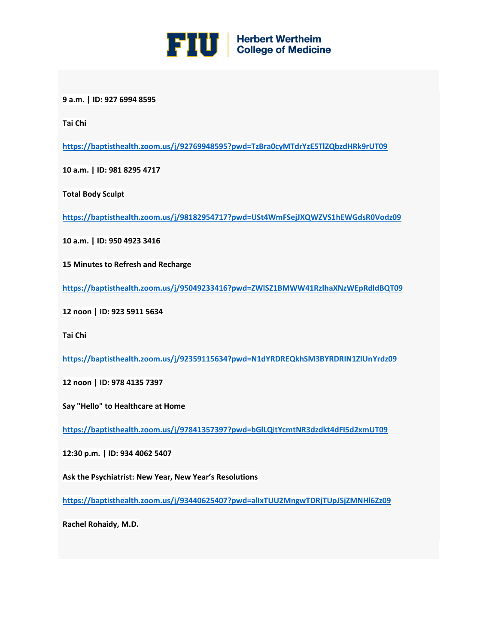

**9 a.m. | ID: 927 6994 8595**

**Tai Chi**

**[https://baptisthealth.zoom.us/j/92769948595?pwd=TzBra0cyMTdrYzE5TlZQbzdHRk9rUT09](https://urldefense.proofpoint.com/v2/url?u=https-3A__click.icptrack.com_icp_relay.php-3Fr-3D50454351-26msgid-3D518883-26act-3D28BB-26c-3D1142700-26destination-3Dhttps-253A-252F-252Fbaptisthealth.zoom.us-252Fj-252F92769948595-253Fpwd-253DTzBra0cyMTdrYzE5TlZQbzdHRk9rUT09-26cf-3D24050-26v-3Db063cf37b76805613c132e967f2909eed9ba7db9cfa93f863d869901a1a61057&d=DwMFaQ&c=lhMMI368wojMYNABHh1gQQ&r=48LiaEKVb-T5CUy6xb712A&m=tH4b7OcVqZQAplbN44VfC-E-vUlI1gYI1zayGbD4KVs&s=BO39KvSJKSFlUBafMgwFPhRX9yvlHkNN_fikQUdoO14&e=)**

**10 a.m. | ID: 981 8295 4717**

**Total Body Sculpt**

**[https://baptisthealth.zoom.us/j/98182954717?pwd=USt4WmFSejJXQWZVS1hEWGdsR0Vodz09](https://urldefense.proofpoint.com/v2/url?u=https-3A__click.icptrack.com_icp_relay.php-3Fr-3D50454351-26msgid-3D518883-26act-3D28BB-26c-3D1142700-26destination-3Dhttps-253A-252F-252Fbaptisthealth.zoom.us-252Fj-252F98182954717-253Fpwd-253DUSt4WmFSejJXQWZVS1hEWGdsR0Vodz09-26cf-3D24050-26v-3Dc404213ecb284a88d26757c8b27927014ac4782ba367b816adf8930c0facc331&d=DwMFaQ&c=lhMMI368wojMYNABHh1gQQ&r=48LiaEKVb-T5CUy6xb712A&m=tH4b7OcVqZQAplbN44VfC-E-vUlI1gYI1zayGbD4KVs&s=ovuJ9PjY35zmR4AQ1BX-Dw2HAit4P3UFGzqcFLr4Dy8&e=)**

**10 a.m. | ID: 950 4923 3416**

**15 Minutes to Refresh and Recharge**

**[https://baptisthealth.zoom.us/j/95049233416?pwd=ZWlSZ1BMWW41RzlhaXNzWEpRdldBQT09](https://urldefense.proofpoint.com/v2/url?u=https-3A__click.icptrack.com_icp_relay.php-3Fr-3D50454351-26msgid-3D518883-26act-3D28BB-26c-3D1142700-26destination-3Dhttps-253A-252F-252Fbaptisthealth.zoom.us-252Fj-252F95049233416-253Fpwd-253DZWlSZ1BMWW41RzlhaXNzWEpRdldBQT09-26cf-3D24050-26v-3Da7cf98396038160e7b62393b6245b204c0c9e44eed978fff509ce33ddb8ea031&d=DwMFaQ&c=lhMMI368wojMYNABHh1gQQ&r=48LiaEKVb-T5CUy6xb712A&m=tH4b7OcVqZQAplbN44VfC-E-vUlI1gYI1zayGbD4KVs&s=cDtAzMEILQq0JmpOYcFop-NgjCCOCjzsH0TFz4UFW3Q&e=)**

**12 noon | ID: 923 5911 5634**

**Tai Chi**

**[https://baptisthealth.zoom.us/j/92359115634?pwd=N1dYRDREQkhSM3BYRDRIN1ZIUnYrdz09](https://urldefense.proofpoint.com/v2/url?u=https-3A__click.icptrack.com_icp_relay.php-3Fr-3D50454351-26msgid-3D518883-26act-3D28BB-26c-3D1142700-26destination-3Dhttps-253A-252F-252Fbaptisthealth.zoom.us-252Fj-252F92359115634-253Fpwd-253DN1dYRDREQkhSM3BYRDRIN1ZIUnYrdz09-26cf-3D24050-26v-3D33fd8a362e171957c3622eea61881cda6dd97f899a917e9254f80ebf792e6eea&d=DwMFaQ&c=lhMMI368wojMYNABHh1gQQ&r=48LiaEKVb-T5CUy6xb712A&m=tH4b7OcVqZQAplbN44VfC-E-vUlI1gYI1zayGbD4KVs&s=JOZ-GZCXn4WZbM0_9c5xwLn7nsfHsffBHsQAfHfWW0k&e=)**

**12 noon | ID: 978 4135 7397**

**Say "Hello" to Healthcare at Home**

**[https://baptisthealth.zoom.us/j/97841357397?pwd=bGlLQitYcmtNR3dzdkt4dFI5d2xmUT09](https://urldefense.proofpoint.com/v2/url?u=https-3A__click.icptrack.com_icp_relay.php-3Fr-3D50454351-26msgid-3D518883-26act-3D28BB-26c-3D1142700-26destination-3Dhttps-253A-252F-252Fbaptisthealth.zoom.us-252Fj-252F97841357397-253Fpwd-253DbGlLQitYcmtNR3dzdkt4dFI5d2xmUT09-26cf-3D24050-26v-3D9165f0d20b3b778ff5dbde387ac5607570fc840c758f5b5d51913a6e739bf6d6&d=DwMFaQ&c=lhMMI368wojMYNABHh1gQQ&r=48LiaEKVb-T5CUy6xb712A&m=tH4b7OcVqZQAplbN44VfC-E-vUlI1gYI1zayGbD4KVs&s=KVn52EPcwZDVj5w16rZDKx97aDviscA36DXRYeMxGqs&e=)**

**12:30 p.m. | ID: 934 4062 5407**

**Ask the Psychiatrist: New Year, New Year's Resolutions**

**[https://baptisthealth.zoom.us/j/93440625407?pwd=alIxTUU2MngwTDRjTUpJSjZMNHl6Zz09](https://urldefense.proofpoint.com/v2/url?u=https-3A__click.icptrack.com_icp_relay.php-3Fr-3D50454351-26msgid-3D518883-26act-3D28BB-26c-3D1142700-26destination-3Dhttps-253A-252F-252Fbaptisthealth.zoom.us-252Fj-252F93440625407-253Fpwd-253DalIxTUU2MngwTDRjTUpJSjZMNHl6Zz09-26cf-3D24050-26v-3D2bbad6fb5b0b650f6e842acf8c7862a3242563f8e474fc332a1045559796ba56&d=DwMFaQ&c=lhMMI368wojMYNABHh1gQQ&r=48LiaEKVb-T5CUy6xb712A&m=tH4b7OcVqZQAplbN44VfC-E-vUlI1gYI1zayGbD4KVs&s=g30Q6YCEVKxzKLUXKYKKjftQlEz_fLVecqlGW-WY2qA&e=)**

**Rachel Rohaidy, M.D.**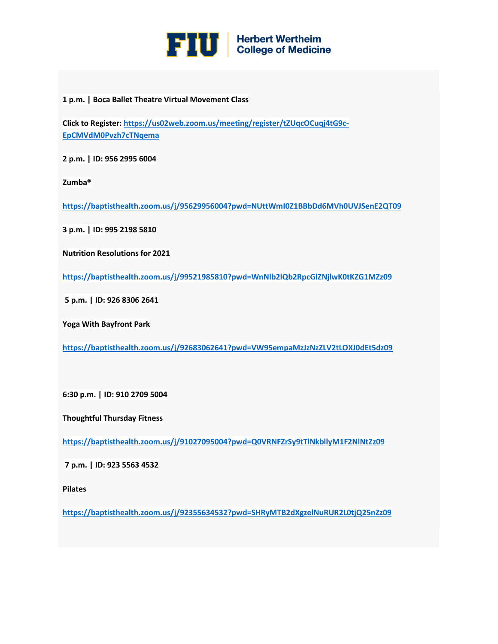

#### **1 p.m. | Boca Ballet Theatre Virtual Movement Class**

**Click to Register: [https://us02web.zoom.us/meeting/register/tZUqcOCuqj4tG9c-](https://urldefense.proofpoint.com/v2/url?u=https-3A__click.icptrack.com_icp_relay.php-3Fr-3D50454351-26msgid-3D518883-26act-3D28BB-26c-3D1142700-26destination-3Dhttps-253A-252F-252Fus02web.zoom.us-252Fmeeting-252Fregister-252FtZUqcOCuqj4tG9c-2DEpCMVdM0Pvzh7cTNqema-26cf-3D24050-26v-3D4dcccf9f51fe31c6849018748dfada08133ad97f4a0bcd1a11df16b190fc0dc0&d=DwMFaQ&c=lhMMI368wojMYNABHh1gQQ&r=48LiaEKVb-T5CUy6xb712A&m=tH4b7OcVqZQAplbN44VfC-E-vUlI1gYI1zayGbD4KVs&s=QoOjLbg2wHEBcK5_ObweqPUyXVROLG01EMA2LMt-Q4c&e=)[EpCMVdM0Pvzh7cTNqema](https://urldefense.proofpoint.com/v2/url?u=https-3A__click.icptrack.com_icp_relay.php-3Fr-3D50454351-26msgid-3D518883-26act-3D28BB-26c-3D1142700-26destination-3Dhttps-253A-252F-252Fus02web.zoom.us-252Fmeeting-252Fregister-252FtZUqcOCuqj4tG9c-2DEpCMVdM0Pvzh7cTNqema-26cf-3D24050-26v-3D4dcccf9f51fe31c6849018748dfada08133ad97f4a0bcd1a11df16b190fc0dc0&d=DwMFaQ&c=lhMMI368wojMYNABHh1gQQ&r=48LiaEKVb-T5CUy6xb712A&m=tH4b7OcVqZQAplbN44VfC-E-vUlI1gYI1zayGbD4KVs&s=QoOjLbg2wHEBcK5_ObweqPUyXVROLG01EMA2LMt-Q4c&e=)**

**2 p.m. | ID: 956 2995 6004**

**Zumba®**

**[https://baptisthealth.zoom.us/j/95629956004?pwd=NUttWmI0Z1BBbDd6MVh0UVJSenE2QT09](https://urldefense.proofpoint.com/v2/url?u=https-3A__click.icptrack.com_icp_relay.php-3Fr-3D50454351-26msgid-3D518883-26act-3D28BB-26c-3D1142700-26destination-3Dhttps-253A-252F-252Fbaptisthealth.zoom.us-252Fj-252F95629956004-253Fpwd-253DNUttWmI0Z1BBbDd6MVh0UVJSenE2QT09-26cf-3D24050-26v-3D33fc59c13c9c1a976be72d5768c372713a792c4ee28468625d73b9e447422ebd&d=DwMFaQ&c=lhMMI368wojMYNABHh1gQQ&r=48LiaEKVb-T5CUy6xb712A&m=tH4b7OcVqZQAplbN44VfC-E-vUlI1gYI1zayGbD4KVs&s=HxMOxib1wc9PEqw3w89kDqU8zruFfQGELKOJOk89UIg&e=)**

**3 p.m. | ID: 995 2198 5810**

**Nutrition Resolutions for 2021**

**[https://baptisthealth.zoom.us/j/99521985810?pwd=WnNlb2lQb2RpcGlZNjlwK0tKZG1MZz09](https://urldefense.proofpoint.com/v2/url?u=https-3A__click.icptrack.com_icp_relay.php-3Fr-3D50454351-26msgid-3D518883-26act-3D28BB-26c-3D1142700-26destination-3Dhttps-253A-252F-252Fbaptisthealth.zoom.us-252Fj-252F99521985810-253Fpwd-253DWnNlb2lQb2RpcGlZNjlwK0tKZG1MZz09-26cf-3D24050-26v-3D459c8c57b95112ec4db61504552800fe7fe67cc9fd289c4f9affca2bca3d944e&d=DwMFaQ&c=lhMMI368wojMYNABHh1gQQ&r=48LiaEKVb-T5CUy6xb712A&m=tH4b7OcVqZQAplbN44VfC-E-vUlI1gYI1zayGbD4KVs&s=d2z1dsX1DIWhA5t326aalIza6BpPykOe1oMCfhRvl1g&e=)**

**5 p.m. | ID: 926 8306 2641**

**Yoga With Bayfront Park**

**[https://baptisthealth.zoom.us/j/92683062641?pwd=VW95empaMzJzNzZLV2tLOXJ0dEt5dz09](https://urldefense.proofpoint.com/v2/url?u=https-3A__click.icptrack.com_icp_relay.php-3Fr-3D50454351-26msgid-3D518883-26act-3D28BB-26c-3D1142700-26destination-3Dhttps-253A-252F-252Fbaptisthealth.zoom.us-252Fj-252F92683062641-253Fpwd-253DVW95empaMzJzNzZLV2tLOXJ0dEt5dz09-26cf-3D24050-26v-3D6691123cc81d68e4f435df52a0be6904767de57fb2df57d3b0c7224b74e40bbe&d=DwMFaQ&c=lhMMI368wojMYNABHh1gQQ&r=48LiaEKVb-T5CUy6xb712A&m=tH4b7OcVqZQAplbN44VfC-E-vUlI1gYI1zayGbD4KVs&s=0gy4KVlzC_cOmqvop0iM3m2hAtJrtK2zWOVWUyj7ZQY&e=)**

**6:30 p.m. | ID: 910 2709 5004**

**Thoughtful Thursday Fitness**

**[https://baptisthealth.zoom.us/j/91027095004?pwd=Q0VRNFZrSy9tTlNkbllyM1F2NlNtZz09](https://urldefense.proofpoint.com/v2/url?u=https-3A__click.icptrack.com_icp_relay.php-3Fr-3D50454351-26msgid-3D518883-26act-3D28BB-26c-3D1142700-26destination-3Dhttps-253A-252F-252Fbaptisthealth.zoom.us-252Fj-252F91027095004-253Fpwd-253DQ0VRNFZrSy9tTlNkbllyM1F2NlNtZz09-26cf-3D24050-26v-3Dba53026686bdfa236bb9b168ae803703dc7af1e3ddf5c8200c6a2ce359573698&d=DwMFaQ&c=lhMMI368wojMYNABHh1gQQ&r=48LiaEKVb-T5CUy6xb712A&m=tH4b7OcVqZQAplbN44VfC-E-vUlI1gYI1zayGbD4KVs&s=3e97UuzqPKeF_vmXBiO2yIoZZjGiG94Uu4qKOwU3tjg&e=)**

**7 p.m. | ID: 923 5563 4532**

**Pilates**

**[https://baptisthealth.zoom.us/j/92355634532?pwd=SHRyMTB2dXgzelNuRUR2L0tjQ25nZz09](https://urldefense.proofpoint.com/v2/url?u=https-3A__click.icptrack.com_icp_relay.php-3Fr-3D50454351-26msgid-3D518883-26act-3D28BB-26c-3D1142700-26destination-3Dhttps-253A-252F-252Fbaptisthealth.zoom.us-252Fj-252F92355634532-253Fpwd-253DSHRyMTB2dXgzelNuRUR2L0tjQ25nZz09-26cf-3D24050-26v-3D9f6b833b01bc728c63abc3ca673e6ae9db42ba0090a657eae248769ece6b094d&d=DwMFaQ&c=lhMMI368wojMYNABHh1gQQ&r=48LiaEKVb-T5CUy6xb712A&m=tH4b7OcVqZQAplbN44VfC-E-vUlI1gYI1zayGbD4KVs&s=6bF_32pjE64lt-kkV11SGQFn_lbDrbJN0j-uuT7F-4I&e=)**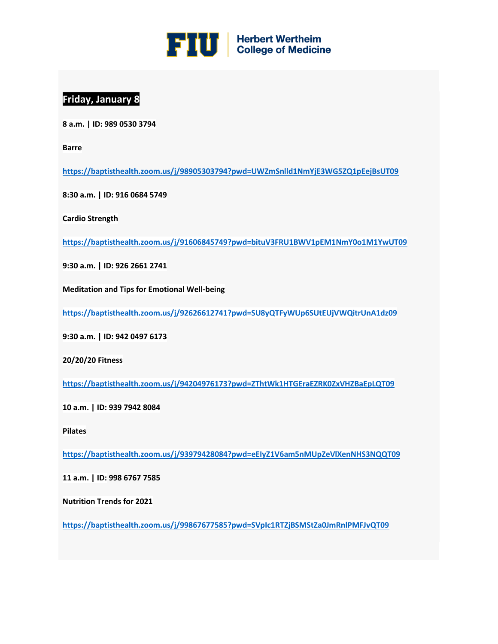

## **Friday, January 8**

**8 a.m. | ID: 989 0530 3794**

**Barre**

**[https://baptisthealth.zoom.us/j/98905303794?pwd=UWZmSnlld1NmYjE3WG5ZQ1pEejBsUT09](https://urldefense.proofpoint.com/v2/url?u=https-3A__click.icptrack.com_icp_relay.php-3Fr-3D50454351-26msgid-3D518883-26act-3D28BB-26c-3D1142700-26destination-3Dhttps-253A-252F-252Fbaptisthealth.zoom.us-252Fj-252F98905303794-253Fpwd-253DUWZmSnlld1NmYjE3WG5ZQ1pEejBsUT09-26cf-3D24050-26v-3Da06876d81b8774e7790cf1b63f57e7be32d75fa068bf71f4dda5e14d8e5f7742&d=DwMFaQ&c=lhMMI368wojMYNABHh1gQQ&r=48LiaEKVb-T5CUy6xb712A&m=tH4b7OcVqZQAplbN44VfC-E-vUlI1gYI1zayGbD4KVs&s=Cs5SsxPS4UPN0k5bY_N7t9N_LwWynxvmjdYomay61U0&e=)**

**8:30 a.m. | ID: 916 0684 5749**

**Cardio Strength**

**[https://baptisthealth.zoom.us/j/91606845749?pwd=bituV3FRU1BWV1pEM1NmY0o1M1YwUT09](https://urldefense.proofpoint.com/v2/url?u=https-3A__click.icptrack.com_icp_relay.php-3Fr-3D50454351-26msgid-3D518883-26act-3D28BB-26c-3D1142700-26destination-3Dhttps-253A-252F-252Fbaptisthealth.zoom.us-252Fj-252F91606845749-253Fpwd-253DbituV3FRU1BWV1pEM1NmY0o1M1YwUT09-26cf-3D24050-26v-3D796b6e312bf47aa9856974b32c63c3d580620a39fc4a239648ddde95a89995cc&d=DwMFaQ&c=lhMMI368wojMYNABHh1gQQ&r=48LiaEKVb-T5CUy6xb712A&m=tH4b7OcVqZQAplbN44VfC-E-vUlI1gYI1zayGbD4KVs&s=cFfO8XOPAELRi4UwmzqGMtf9bINlgcvYrepeeQYfZKs&e=)**

**9:30 a.m. | ID: 926 2661 2741**

**Meditation and Tips for Emotional Well-being**

**[https://baptisthealth.zoom.us/j/92626612741?pwd=SU8yQTFyWUp6SUtEUjVWQitrUnA1dz09](https://urldefense.proofpoint.com/v2/url?u=https-3A__click.icptrack.com_icp_relay.php-3Fr-3D50454351-26msgid-3D518883-26act-3D28BB-26c-3D1142700-26destination-3Dhttps-253A-252F-252Fbaptisthealth.zoom.us-252Fj-252F92626612741-253Fpwd-253DSU8yQTFyWUp6SUtEUjVWQitrUnA1dz09-26cf-3D24050-26v-3Dcb5abeefaf9b9f62e5c4875009b90bba0944a75403522f2e73427dbbd4f4c924&d=DwMFaQ&c=lhMMI368wojMYNABHh1gQQ&r=48LiaEKVb-T5CUy6xb712A&m=tH4b7OcVqZQAplbN44VfC-E-vUlI1gYI1zayGbD4KVs&s=ruy9q4zwyPkLVcGGvXQMOJB3XuV0iUOTrlOpGeypSrw&e=)**

**9:30 a.m. | ID: 942 0497 6173**

**20/20/20 Fitness**

**[https://baptisthealth.zoom.us/j/94204976173?pwd=ZThtWk1HTGEraEZRK0ZxVHZBaEpLQT09](https://urldefense.proofpoint.com/v2/url?u=https-3A__click.icptrack.com_icp_relay.php-3Fr-3D50454351-26msgid-3D518883-26act-3D28BB-26c-3D1142700-26destination-3Dhttps-253A-252F-252Fbaptisthealth.zoom.us-252Fj-252F94204976173-253Fpwd-253DZThtWk1HTGEraEZRK0ZxVHZBaEpLQT09-26cf-3D24050-26v-3Db6d6b187267af0a965df5b448c80d49656ac4b6c7fb7236774719cc435baa743&d=DwMFaQ&c=lhMMI368wojMYNABHh1gQQ&r=48LiaEKVb-T5CUy6xb712A&m=tH4b7OcVqZQAplbN44VfC-E-vUlI1gYI1zayGbD4KVs&s=1Pnvi2MY3rn2YfmDf3jNiHafLUzk3AAKmb9iqF9Xp7s&e=)**

**10 a.m. | ID: 939 7942 8084**

**Pilates**

**[https://baptisthealth.zoom.us/j/93979428084?pwd=eEIyZ1V6am5nMUpZeVlXenNHS3NQQT09](https://urldefense.proofpoint.com/v2/url?u=https-3A__click.icptrack.com_icp_relay.php-3Fr-3D50454351-26msgid-3D518883-26act-3D28BB-26c-3D1142700-26destination-3Dhttps-253A-252F-252Fbaptisthealth.zoom.us-252Fj-252F93979428084-253Fpwd-253DeEIyZ1V6am5nMUpZeVlXenNHS3NQQT09-26cf-3D24050-26v-3D8d10fc727be59c6fd06ffbf880b1ad77fb8ad88a81799cfad0825390cf12fc5b&d=DwMFaQ&c=lhMMI368wojMYNABHh1gQQ&r=48LiaEKVb-T5CUy6xb712A&m=tH4b7OcVqZQAplbN44VfC-E-vUlI1gYI1zayGbD4KVs&s=2DaivrFEe_jQ0Ug_HgBPDJxp8Bhj86xjXGJjGtFiS9U&e=)**

**11 a.m. | ID: 998 6767 7585**

**Nutrition Trends for 2021**

**[https://baptisthealth.zoom.us/j/99867677585?pwd=SVpIc1RTZjBSMStZa0JmRnlPMFJvQT09](https://urldefense.proofpoint.com/v2/url?u=https-3A__click.icptrack.com_icp_relay.php-3Fr-3D50454351-26msgid-3D518883-26act-3D28BB-26c-3D1142700-26destination-3Dhttps-253A-252F-252Fbaptisthealth.zoom.us-252Fj-252F99867677585-253Fpwd-253DSVpIc1RTZjBSMStZa0JmRnlPMFJvQT09-26cf-3D24050-26v-3D76becc977663cdb7dd4da4ca4341063a34d22cb2e0e23447aeea592d3023555e&d=DwMFaQ&c=lhMMI368wojMYNABHh1gQQ&r=48LiaEKVb-T5CUy6xb712A&m=tH4b7OcVqZQAplbN44VfC-E-vUlI1gYI1zayGbD4KVs&s=kk0lgECvK1aTjuAfDSSkeZvNaKHINg6_E5HAj1bFTak&e=)**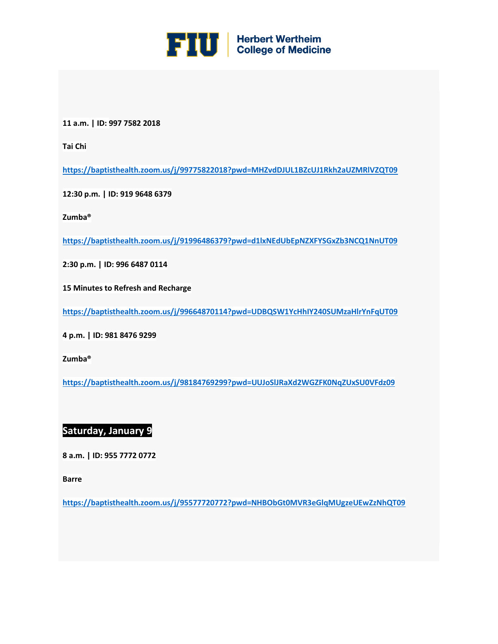

**11 a.m. | ID: 997 7582 2018**

**Tai Chi**

**[https://baptisthealth.zoom.us/j/99775822018?pwd=MHZvdDJUL1BZcUJ1Rkh2aUZMRlVZQT09](https://urldefense.proofpoint.com/v2/url?u=https-3A__click.icptrack.com_icp_relay.php-3Fr-3D50454351-26msgid-3D518883-26act-3D28BB-26c-3D1142700-26destination-3Dhttps-253A-252F-252Fbaptisthealth.zoom.us-252Fj-252F99775822018-253Fpwd-253DMHZvdDJUL1BZcUJ1Rkh2aUZMRlVZQT09-26cf-3D24050-26v-3D6b5aa48e70aa9ab1a275853bef9fe2e0638747c643f80624b73c67e8817e5d13&d=DwMFaQ&c=lhMMI368wojMYNABHh1gQQ&r=48LiaEKVb-T5CUy6xb712A&m=tH4b7OcVqZQAplbN44VfC-E-vUlI1gYI1zayGbD4KVs&s=xLhW1rwkGAMLFF1MdnDCSQkA1fp5DL9RGUSbuyBN5yU&e=)**

**12:30 p.m. | ID: 919 9648 6379**

**Zumba®**

**[https://baptisthealth.zoom.us/j/91996486379?pwd=d1lxNEdUbEpNZXFYSGxZb3NCQ1NnUT09](https://urldefense.proofpoint.com/v2/url?u=https-3A__click.icptrack.com_icp_relay.php-3Fr-3D50454351-26msgid-3D518883-26act-3D28BB-26c-3D1142700-26destination-3Dhttps-253A-252F-252Fbaptisthealth.zoom.us-252Fj-252F91996486379-253Fpwd-253Dd1lxNEdUbEpNZXFYSGxZb3NCQ1NnUT09-26cf-3D24050-26v-3Db37dfdc46d90a70327a67c1e28d0be276ed148eb5585b776807637424e4f9bc5&d=DwMFaQ&c=lhMMI368wojMYNABHh1gQQ&r=48LiaEKVb-T5CUy6xb712A&m=tH4b7OcVqZQAplbN44VfC-E-vUlI1gYI1zayGbD4KVs&s=CYg5mVV5RSrQ3_lIHeMHFQJDARwMwmzInXEDQQENjdc&e=)**

**2:30 p.m. | ID: 996 6487 0114**

**15 Minutes to Refresh and Recharge**

**[https://baptisthealth.zoom.us/j/99664870114?pwd=UDBQSW1YcHhIY240SUMzaHlrYnFqUT09](https://urldefense.proofpoint.com/v2/url?u=https-3A__click.icptrack.com_icp_relay.php-3Fr-3D50454351-26msgid-3D518883-26act-3D28BB-26c-3D1142700-26destination-3Dhttps-253A-252F-252Fbaptisthealth.zoom.us-252Fj-252F99664870114-253Fpwd-253DUDBQSW1YcHhIY240SUMzaHlrYnFqUT09-26cf-3D24050-26v-3De8f3377b89a170c2ec6390aa6fdf2b72e85f40bda0f6f675e5c9272e1a2aecbf&d=DwMFaQ&c=lhMMI368wojMYNABHh1gQQ&r=48LiaEKVb-T5CUy6xb712A&m=tH4b7OcVqZQAplbN44VfC-E-vUlI1gYI1zayGbD4KVs&s=w4fgFhpe1SXF75CxDHoIwQg6P-HS6Kb2W2nw2rvL7bc&e=)**

**4 p.m. | ID: 981 8476 9299**

**Zumba®**

**[https://baptisthealth.zoom.us/j/98184769299?pwd=UUJoSlJRaXd2WGZFK0NqZUxSU0VFdz09](https://urldefense.proofpoint.com/v2/url?u=https-3A__click.icptrack.com_icp_relay.php-3Fr-3D50454351-26msgid-3D518883-26act-3D28BB-26c-3D1142700-26destination-3Dhttps-253A-252F-252Fbaptisthealth.zoom.us-252Fj-252F98184769299-253Fpwd-253DUUJoSlJRaXd2WGZFK0NqZUxSU0VFdz09-26cf-3D24050-26v-3D27a73e7d170227dfaacd3529d6bab131636266156746970455f4e61d85b15432&d=DwMFaQ&c=lhMMI368wojMYNABHh1gQQ&r=48LiaEKVb-T5CUy6xb712A&m=tH4b7OcVqZQAplbN44VfC-E-vUlI1gYI1zayGbD4KVs&s=ALBGtrTHDkSrLb3v0j_yyKXGWtb06nAz1AAX_Lt1gwQ&e=)**

## **Saturday, January 9**

**8 a.m. | ID: 955 7772 0772**

**Barre**

**[https://baptisthealth.zoom.us/j/95577720772?pwd=NHBObGt0MVR3eGlqMUgzeUEwZzNhQT09](https://urldefense.proofpoint.com/v2/url?u=https-3A__click.icptrack.com_icp_relay.php-3Fr-3D50454351-26msgid-3D518883-26act-3D28BB-26c-3D1142700-26destination-3Dhttps-253A-252F-252Fbaptisthealth.zoom.us-252Fj-252F95577720772-253Fpwd-253DNHBObGt0MVR3eGlqMUgzeUEwZzNhQT09-26cf-3D24050-26v-3Dd046344c2babbfc91ef1b7f72adbf91fd9ebe5550db45179447e34b437a70b29&d=DwMFaQ&c=lhMMI368wojMYNABHh1gQQ&r=48LiaEKVb-T5CUy6xb712A&m=tH4b7OcVqZQAplbN44VfC-E-vUlI1gYI1zayGbD4KVs&s=dMxGsGZ9IcIaq1mJ1NeECPoIkf_YgkwSwXF7ZnEv3Jc&e=)**